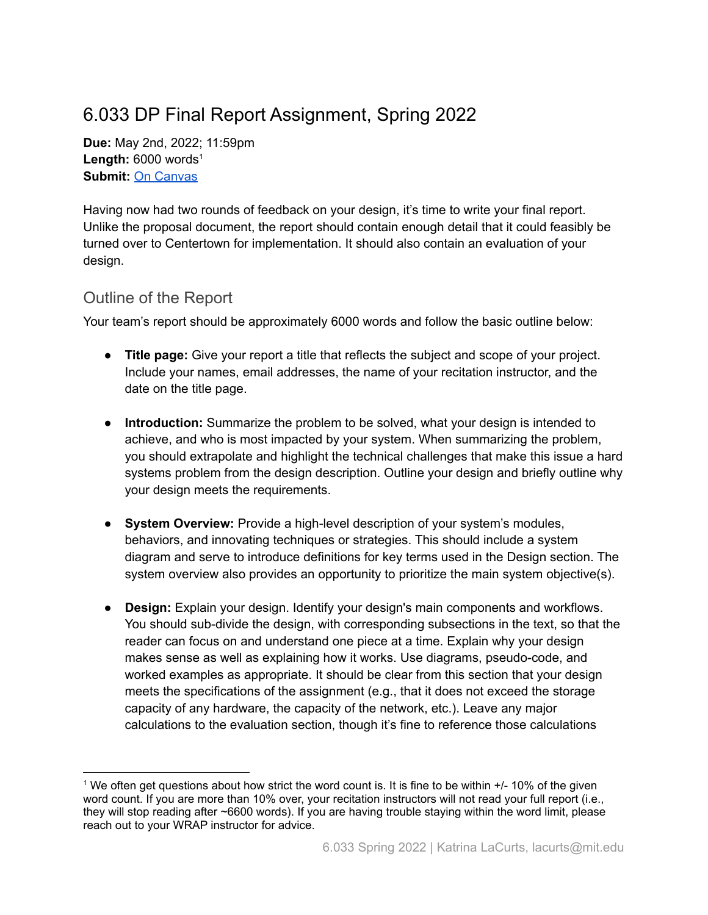## 6.033 DP Final Report Assignment, Spring 2022

**Due:** May 2nd, 2022; 11:59pm **Length:** 6000 words 1 **Submit:** On [Canvas](https://canvas.mit.edu/courses/13713/assignments/193587)

Having now had two rounds of feedback on your design, it's time to write your final report. Unlike the proposal document, the report should contain enough detail that it could feasibly be turned over to Centertown for implementation. It should also contain an evaluation of your design.

## Outline of the Report

Your team's report should be approximately 6000 words and follow the basic outline below:

- **Title page:** Give your report a title that reflects the subject and scope of your project. Include your names, email addresses, the name of your recitation instructor, and the date on the title page.
- **Introduction:** Summarize the problem to be solved, what your design is intended to achieve, and who is most impacted by your system. When summarizing the problem, you should extrapolate and highlight the technical challenges that make this issue a hard systems problem from the design description. Outline your design and briefly outline why your design meets the requirements.
- **System Overview:** Provide a high-level description of your system's modules, behaviors, and innovating techniques or strategies. This should include a system diagram and serve to introduce definitions for key terms used in the Design section. The system overview also provides an opportunity to prioritize the main system objective(s).
- **Design:** Explain your design. Identify your design's main components and workflows. You should sub-divide the design, with corresponding subsections in the text, so that the reader can focus on and understand one piece at a time. Explain why your design makes sense as well as explaining how it works. Use diagrams, pseudo-code, and worked examples as appropriate. It should be clear from this section that your design meets the specifications of the assignment (e.g., that it does not exceed the storage capacity of any hardware, the capacity of the network, etc.). Leave any major calculations to the evaluation section, though it's fine to reference those calculations

<sup>&</sup>lt;sup>1</sup> We often get questions about how strict the word count is. It is fine to be within  $+/-10\%$  of the given word count. If you are more than 10% over, your recitation instructors will not read your full report (i.e., they will stop reading after ~6600 words). If you are having trouble staying within the word limit, please reach out to your WRAP instructor for advice.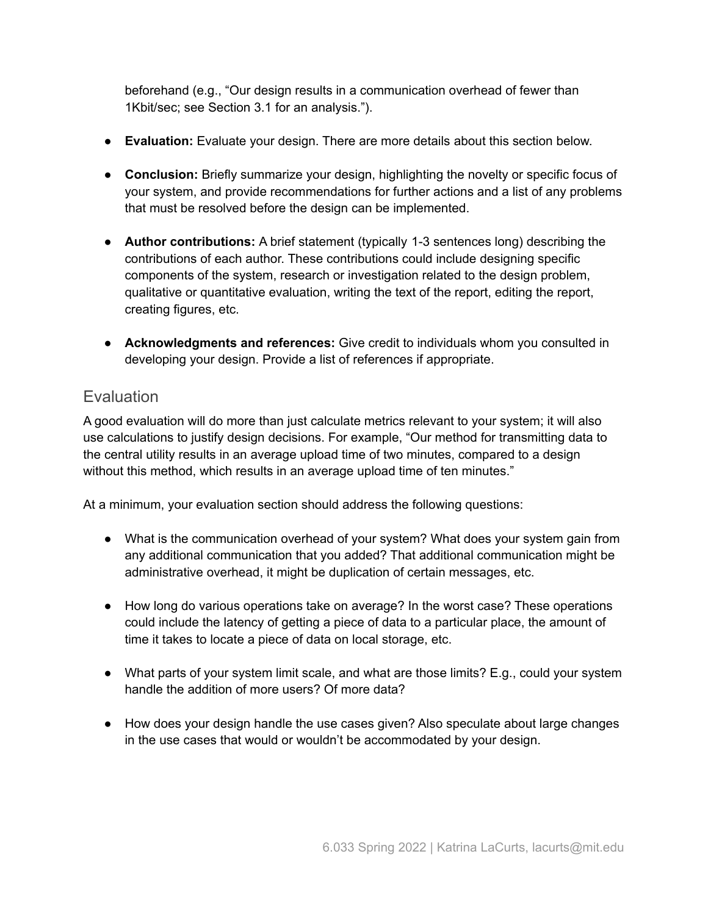beforehand (e.g., "Our design results in a communication overhead of fewer than 1Kbit/sec; see Section 3.1 for an analysis.").

- **Evaluation:** Evaluate your design. There are more details about this section below.
- **Conclusion:** Briefly summarize your design, highlighting the novelty or specific focus of your system, and provide recommendations for further actions and a list of any problems that must be resolved before the design can be implemented.
- **Author contributions:** A brief statement (typically 1-3 sentences long) describing the contributions of each author. These contributions could include designing specific components of the system, research or investigation related to the design problem, qualitative or quantitative evaluation, writing the text of the report, editing the report, creating figures, etc.
- **Acknowledgments and references:** Give credit to individuals whom you consulted in developing your design. Provide a list of references if appropriate.

## **Evaluation**

A good evaluation will do more than just calculate metrics relevant to your system; it will also use calculations to justify design decisions. For example, "Our method for transmitting data to the central utility results in an average upload time of two minutes, compared to a design without this method, which results in an average upload time of ten minutes."

At a minimum, your evaluation section should address the following questions:

- What is the communication overhead of your system? What does your system gain from any additional communication that you added? That additional communication might be administrative overhead, it might be duplication of certain messages, etc.
- How long do various operations take on average? In the worst case? These operations could include the latency of getting a piece of data to a particular place, the amount of time it takes to locate a piece of data on local storage, etc.
- What parts of your system limit scale, and what are those limits? E.g., could your system handle the addition of more users? Of more data?
- How does your design handle the use cases given? Also speculate about large changes in the use cases that would or wouldn't be accommodated by your design.